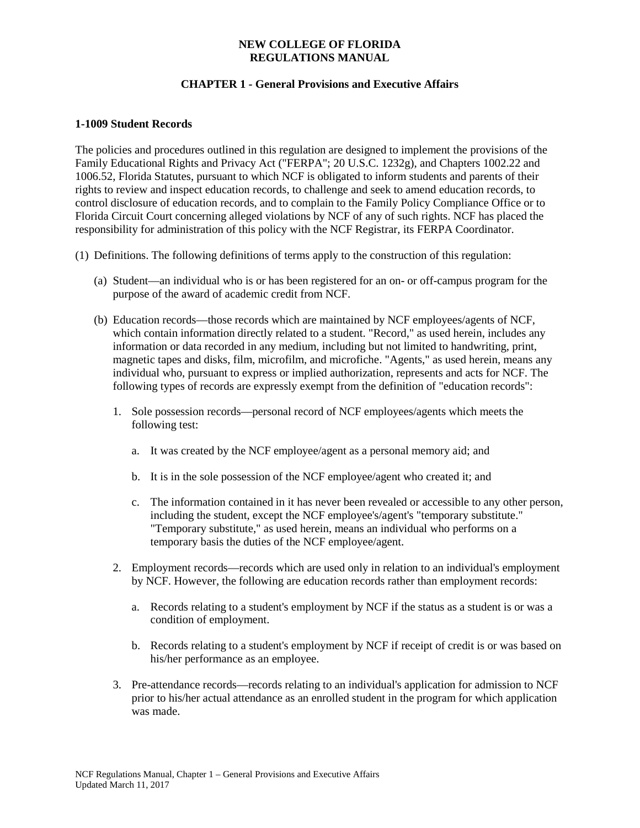## **CHAPTER 1 - General Provisions and Executive Affairs**

### **1-1009 Student Records**

The policies and procedures outlined in this regulation are designed to implement the provisions of the Family Educational Rights and Privacy Act ("FERPA"; 20 U.S.C. 1232g), and Chapters 1002.22 and 1006.52, Florida Statutes, pursuant to which NCF is obligated to inform students and parents of their rights to review and inspect education records, to challenge and seek to amend education records, to control disclosure of education records, and to complain to the Family Policy Compliance Office or to Florida Circuit Court concerning alleged violations by NCF of any of such rights. NCF has placed the responsibility for administration of this policy with the NCF Registrar, its FERPA Coordinator.

- (1) Definitions. The following definitions of terms apply to the construction of this regulation:
	- (a) Student—an individual who is or has been registered for an on- or off-campus program for the purpose of the award of academic credit from NCF.
	- (b) Education records—those records which are maintained by NCF employees/agents of NCF, which contain information directly related to a student. "Record," as used herein, includes any information or data recorded in any medium, including but not limited to handwriting, print, magnetic tapes and disks, film, microfilm, and microfiche. "Agents," as used herein, means any individual who, pursuant to express or implied authorization, represents and acts for NCF. The following types of records are expressly exempt from the definition of "education records":
		- 1. Sole possession records—personal record of NCF employees/agents which meets the following test:
			- a. It was created by the NCF employee/agent as a personal memory aid; and
			- b. It is in the sole possession of the NCF employee/agent who created it; and
			- c. The information contained in it has never been revealed or accessible to any other person, including the student, except the NCF employee's/agent's "temporary substitute." "Temporary substitute," as used herein, means an individual who performs on a temporary basis the duties of the NCF employee/agent.
		- 2. Employment records—records which are used only in relation to an individual's employment by NCF. However, the following are education records rather than employment records:
			- a. Records relating to a student's employment by NCF if the status as a student is or was a condition of employment.
			- b. Records relating to a student's employment by NCF if receipt of credit is or was based on his/her performance as an employee.
		- 3. Pre-attendance records—records relating to an individual's application for admission to NCF prior to his/her actual attendance as an enrolled student in the program for which application was made.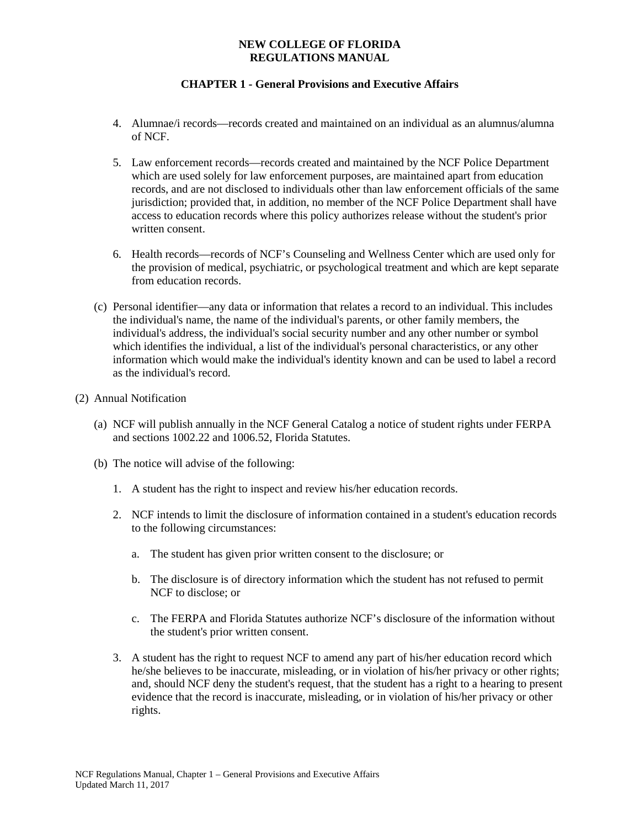# **CHAPTER 1 - General Provisions and Executive Affairs**

- 4. Alumnae/i records—records created and maintained on an individual as an alumnus/alumna of NCF.
- 5. Law enforcement records—records created and maintained by the NCF Police Department which are used solely for law enforcement purposes, are maintained apart from education records, and are not disclosed to individuals other than law enforcement officials of the same jurisdiction; provided that, in addition, no member of the NCF Police Department shall have access to education records where this policy authorizes release without the student's prior written consent.
- 6. Health records—records of NCF's Counseling and Wellness Center which are used only for the provision of medical, psychiatric, or psychological treatment and which are kept separate from education records.
- (c) Personal identifier—any data or information that relates a record to an individual. This includes the individual's name, the name of the individual's parents, or other family members, the individual's address, the individual's social security number and any other number or symbol which identifies the individual, a list of the individual's personal characteristics, or any other information which would make the individual's identity known and can be used to label a record as the individual's record.

#### (2) Annual Notification

- (a) NCF will publish annually in the NCF General Catalog a notice of student rights under FERPA and sections 1002.22 and 1006.52, Florida Statutes.
- (b) The notice will advise of the following:
	- 1. A student has the right to inspect and review his/her education records.
	- 2. NCF intends to limit the disclosure of information contained in a student's education records to the following circumstances:
		- a. The student has given prior written consent to the disclosure; or
		- b. The disclosure is of directory information which the student has not refused to permit NCF to disclose; or
		- c. The FERPA and Florida Statutes authorize NCF's disclosure of the information without the student's prior written consent.
	- 3. A student has the right to request NCF to amend any part of his/her education record which he/she believes to be inaccurate, misleading, or in violation of his/her privacy or other rights; and, should NCF deny the student's request, that the student has a right to a hearing to present evidence that the record is inaccurate, misleading, or in violation of his/her privacy or other rights.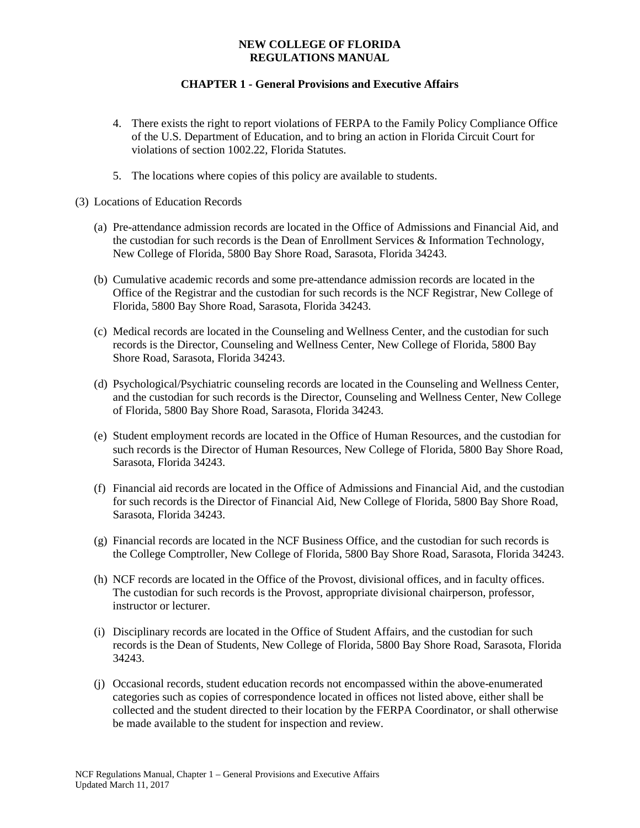- 4. There exists the right to report violations of FERPA to the Family Policy Compliance Office of the U.S. Department of Education, and to bring an action in Florida Circuit Court for violations of section 1002.22, Florida Statutes.
- 5. The locations where copies of this policy are available to students.
- (3) Locations of Education Records
	- (a) Pre-attendance admission records are located in the Office of Admissions and Financial Aid, and the custodian for such records is the Dean of Enrollment Services & Information Technology, New College of Florida, 5800 Bay Shore Road, Sarasota, Florida 34243.
	- (b) Cumulative academic records and some pre-attendance admission records are located in the Office of the Registrar and the custodian for such records is the NCF Registrar, New College of Florida, 5800 Bay Shore Road, Sarasota, Florida 34243.
	- (c) Medical records are located in the Counseling and Wellness Center, and the custodian for such records is the Director, Counseling and Wellness Center, New College of Florida, 5800 Bay Shore Road, Sarasota, Florida 34243.
	- (d) Psychological/Psychiatric counseling records are located in the Counseling and Wellness Center, and the custodian for such records is the Director, Counseling and Wellness Center, New College of Florida, 5800 Bay Shore Road, Sarasota, Florida 34243.
	- (e) Student employment records are located in the Office of Human Resources, and the custodian for such records is the Director of Human Resources, New College of Florida, 5800 Bay Shore Road, Sarasota, Florida 34243.
	- (f) Financial aid records are located in the Office of Admissions and Financial Aid, and the custodian for such records is the Director of Financial Aid, New College of Florida, 5800 Bay Shore Road, Sarasota, Florida 34243.
	- (g) Financial records are located in the NCF Business Office, and the custodian for such records is the College Comptroller, New College of Florida, 5800 Bay Shore Road, Sarasota, Florida 34243.
	- (h) NCF records are located in the Office of the Provost, divisional offices, and in faculty offices. The custodian for such records is the Provost, appropriate divisional chairperson, professor, instructor or lecturer.
	- (i) Disciplinary records are located in the Office of Student Affairs, and the custodian for such records is the Dean of Students, New College of Florida, 5800 Bay Shore Road, Sarasota, Florida 34243.
	- (j) Occasional records, student education records not encompassed within the above-enumerated categories such as copies of correspondence located in offices not listed above, either shall be collected and the student directed to their location by the FERPA Coordinator, or shall otherwise be made available to the student for inspection and review.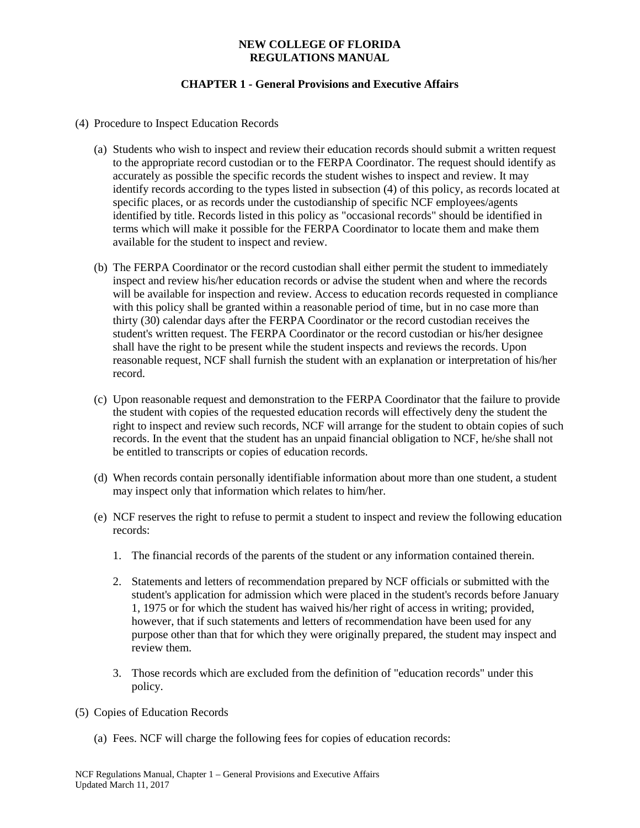- (4) Procedure to Inspect Education Records
	- (a) Students who wish to inspect and review their education records should submit a written request to the appropriate record custodian or to the FERPA Coordinator. The request should identify as accurately as possible the specific records the student wishes to inspect and review. It may identify records according to the types listed in subsection (4) of this policy, as records located at specific places, or as records under the custodianship of specific NCF employees/agents identified by title. Records listed in this policy as "occasional records" should be identified in terms which will make it possible for the FERPA Coordinator to locate them and make them available for the student to inspect and review.
	- (b) The FERPA Coordinator or the record custodian shall either permit the student to immediately inspect and review his/her education records or advise the student when and where the records will be available for inspection and review. Access to education records requested in compliance with this policy shall be granted within a reasonable period of time, but in no case more than thirty (30) calendar days after the FERPA Coordinator or the record custodian receives the student's written request. The FERPA Coordinator or the record custodian or his/her designee shall have the right to be present while the student inspects and reviews the records. Upon reasonable request, NCF shall furnish the student with an explanation or interpretation of his/her record.
	- (c) Upon reasonable request and demonstration to the FERPA Coordinator that the failure to provide the student with copies of the requested education records will effectively deny the student the right to inspect and review such records, NCF will arrange for the student to obtain copies of such records. In the event that the student has an unpaid financial obligation to NCF, he/she shall not be entitled to transcripts or copies of education records.
	- (d) When records contain personally identifiable information about more than one student, a student may inspect only that information which relates to him/her.
	- (e) NCF reserves the right to refuse to permit a student to inspect and review the following education records:
		- 1. The financial records of the parents of the student or any information contained therein.
		- 2. Statements and letters of recommendation prepared by NCF officials or submitted with the student's application for admission which were placed in the student's records before January 1, 1975 or for which the student has waived his/her right of access in writing; provided, however, that if such statements and letters of recommendation have been used for any purpose other than that for which they were originally prepared, the student may inspect and review them.
		- 3. Those records which are excluded from the definition of "education records" under this policy.
- (5) Copies of Education Records
	- (a) Fees. NCF will charge the following fees for copies of education records: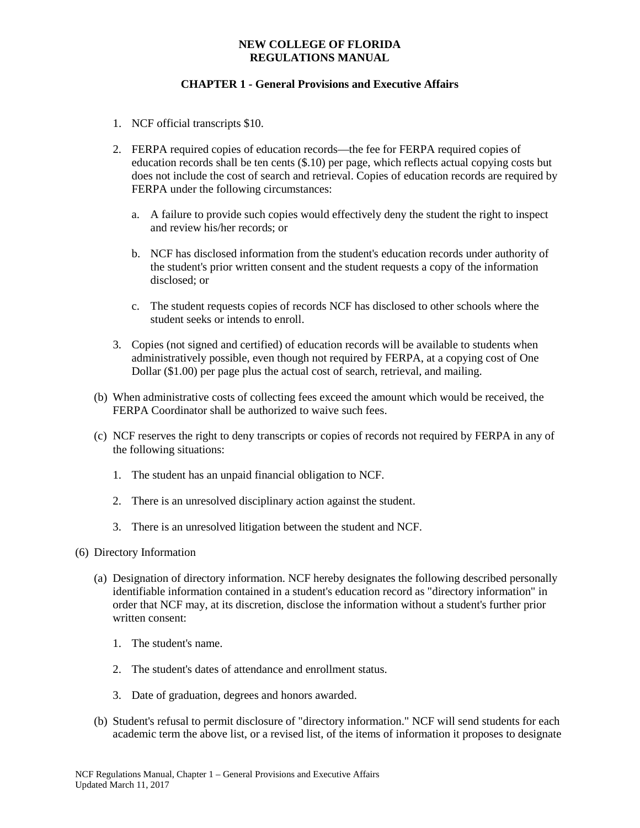- 1. NCF official transcripts \$10.
- 2. FERPA required copies of education records—the fee for FERPA required copies of education records shall be ten cents (\$.10) per page, which reflects actual copying costs but does not include the cost of search and retrieval. Copies of education records are required by FERPA under the following circumstances:
	- a. A failure to provide such copies would effectively deny the student the right to inspect and review his/her records; or
	- b. NCF has disclosed information from the student's education records under authority of the student's prior written consent and the student requests a copy of the information disclosed; or
	- c. The student requests copies of records NCF has disclosed to other schools where the student seeks or intends to enroll.
- 3. Copies (not signed and certified) of education records will be available to students when administratively possible, even though not required by FERPA, at a copying cost of One Dollar (\$1.00) per page plus the actual cost of search, retrieval, and mailing.
- (b) When administrative costs of collecting fees exceed the amount which would be received, the FERPA Coordinator shall be authorized to waive such fees.
- (c) NCF reserves the right to deny transcripts or copies of records not required by FERPA in any of the following situations:
	- 1. The student has an unpaid financial obligation to NCF.
	- 2. There is an unresolved disciplinary action against the student.
	- 3. There is an unresolved litigation between the student and NCF.
- (6) Directory Information
	- (a) Designation of directory information. NCF hereby designates the following described personally identifiable information contained in a student's education record as "directory information" in order that NCF may, at its discretion, disclose the information without a student's further prior written consent:
		- 1. The student's name.
		- 2. The student's dates of attendance and enrollment status.
		- 3. Date of graduation, degrees and honors awarded.
	- (b) Student's refusal to permit disclosure of "directory information." NCF will send students for each academic term the above list, or a revised list, of the items of information it proposes to designate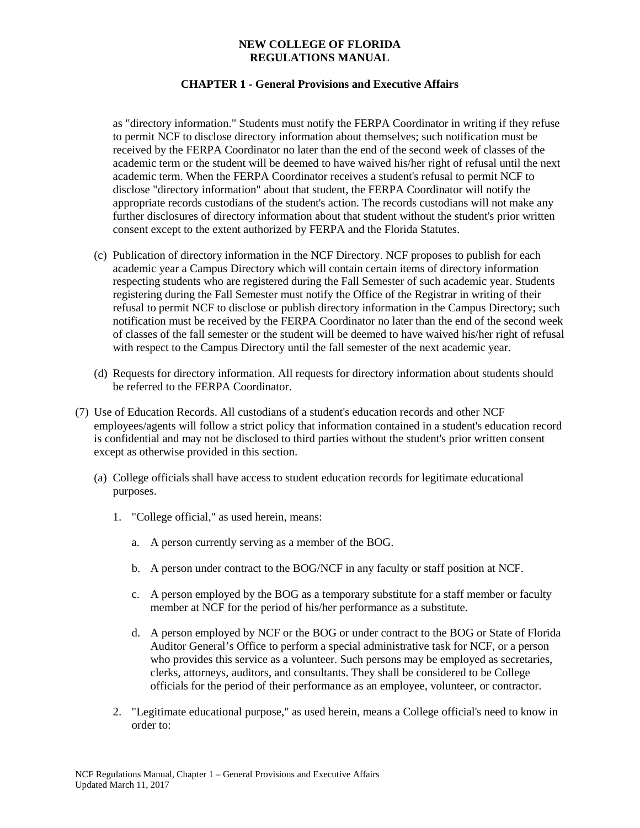## **CHAPTER 1 - General Provisions and Executive Affairs**

as "directory information." Students must notify the FERPA Coordinator in writing if they refuse to permit NCF to disclose directory information about themselves; such notification must be received by the FERPA Coordinator no later than the end of the second week of classes of the academic term or the student will be deemed to have waived his/her right of refusal until the next academic term. When the FERPA Coordinator receives a student's refusal to permit NCF to disclose "directory information" about that student, the FERPA Coordinator will notify the appropriate records custodians of the student's action. The records custodians will not make any further disclosures of directory information about that student without the student's prior written consent except to the extent authorized by FERPA and the Florida Statutes.

- (c) Publication of directory information in the NCF Directory. NCF proposes to publish for each academic year a Campus Directory which will contain certain items of directory information respecting students who are registered during the Fall Semester of such academic year. Students registering during the Fall Semester must notify the Office of the Registrar in writing of their refusal to permit NCF to disclose or publish directory information in the Campus Directory; such notification must be received by the FERPA Coordinator no later than the end of the second week of classes of the fall semester or the student will be deemed to have waived his/her right of refusal with respect to the Campus Directory until the fall semester of the next academic year.
- (d) Requests for directory information. All requests for directory information about students should be referred to the FERPA Coordinator.
- (7) Use of Education Records. All custodians of a student's education records and other NCF employees/agents will follow a strict policy that information contained in a student's education record is confidential and may not be disclosed to third parties without the student's prior written consent except as otherwise provided in this section.
	- (a) College officials shall have access to student education records for legitimate educational purposes.
		- 1. "College official," as used herein, means:
			- a. A person currently serving as a member of the BOG.
			- b. A person under contract to the BOG/NCF in any faculty or staff position at NCF.
			- c. A person employed by the BOG as a temporary substitute for a staff member or faculty member at NCF for the period of his/her performance as a substitute.
			- d. A person employed by NCF or the BOG or under contract to the BOG or State of Florida Auditor General's Office to perform a special administrative task for NCF, or a person who provides this service as a volunteer. Such persons may be employed as secretaries, clerks, attorneys, auditors, and consultants. They shall be considered to be College officials for the period of their performance as an employee, volunteer, or contractor.
		- 2. "Legitimate educational purpose," as used herein, means a College official's need to know in order to: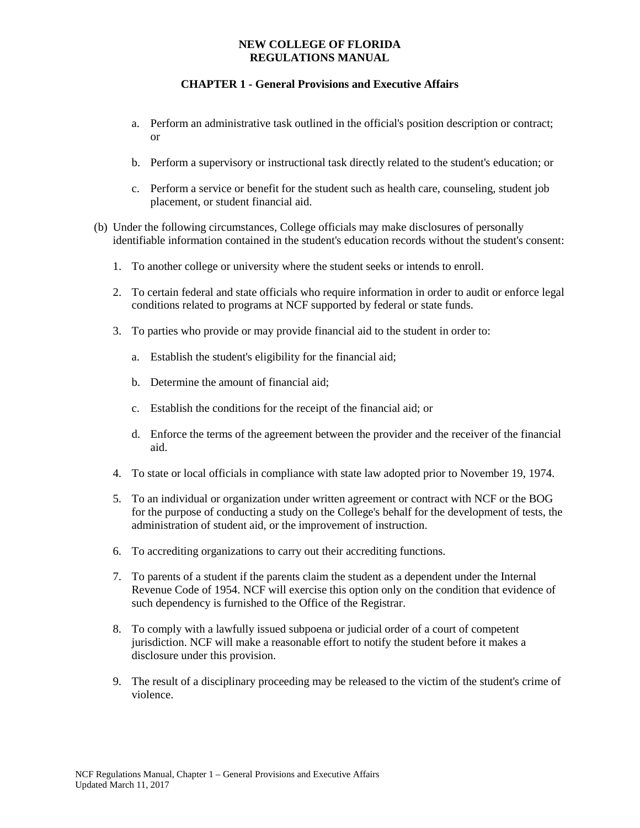- a. Perform an administrative task outlined in the official's position description or contract; or
- b. Perform a supervisory or instructional task directly related to the student's education; or
- c. Perform a service or benefit for the student such as health care, counseling, student job placement, or student financial aid.
- (b) Under the following circumstances, College officials may make disclosures of personally identifiable information contained in the student's education records without the student's consent:
	- 1. To another college or university where the student seeks or intends to enroll.
	- 2. To certain federal and state officials who require information in order to audit or enforce legal conditions related to programs at NCF supported by federal or state funds.
	- 3. To parties who provide or may provide financial aid to the student in order to:
		- a. Establish the student's eligibility for the financial aid;
		- b. Determine the amount of financial aid;
		- c. Establish the conditions for the receipt of the financial aid; or
		- d. Enforce the terms of the agreement between the provider and the receiver of the financial aid.
	- 4. To state or local officials in compliance with state law adopted prior to November 19, 1974.
	- 5. To an individual or organization under written agreement or contract with NCF or the BOG for the purpose of conducting a study on the College's behalf for the development of tests, the administration of student aid, or the improvement of instruction.
	- 6. To accrediting organizations to carry out their accrediting functions.
	- 7. To parents of a student if the parents claim the student as a dependent under the Internal Revenue Code of 1954. NCF will exercise this option only on the condition that evidence of such dependency is furnished to the Office of the Registrar.
	- 8. To comply with a lawfully issued subpoena or judicial order of a court of competent jurisdiction. NCF will make a reasonable effort to notify the student before it makes a disclosure under this provision.
	- 9. The result of a disciplinary proceeding may be released to the victim of the student's crime of violence.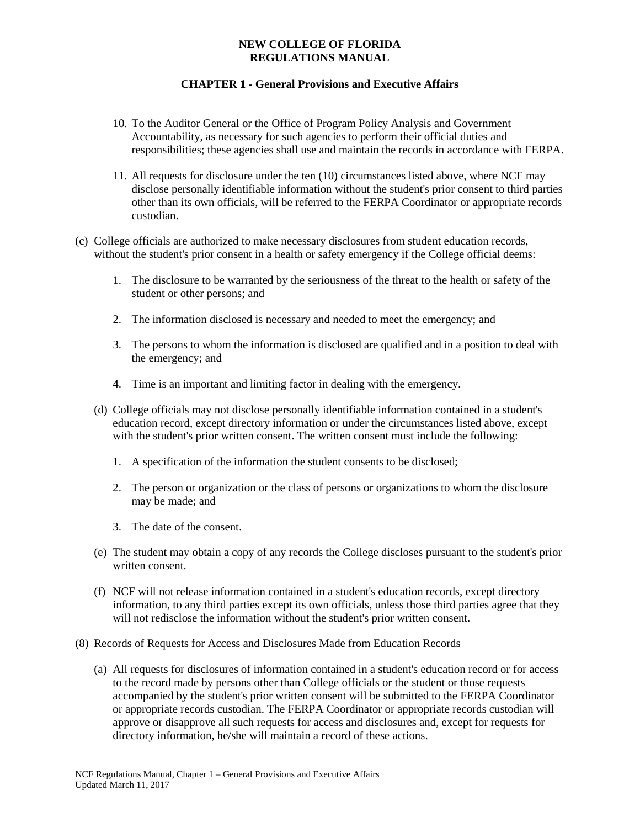- 10. To the Auditor General or the Office of Program Policy Analysis and Government Accountability, as necessary for such agencies to perform their official duties and responsibilities; these agencies shall use and maintain the records in accordance with FERPA.
- 11. All requests for disclosure under the ten (10) circumstances listed above, where NCF may disclose personally identifiable information without the student's prior consent to third parties other than its own officials, will be referred to the FERPA Coordinator or appropriate records custodian.
- (c) College officials are authorized to make necessary disclosures from student education records, without the student's prior consent in a health or safety emergency if the College official deems:
	- 1. The disclosure to be warranted by the seriousness of the threat to the health or safety of the student or other persons; and
	- 2. The information disclosed is necessary and needed to meet the emergency; and
	- 3. The persons to whom the information is disclosed are qualified and in a position to deal with the emergency; and
	- 4. Time is an important and limiting factor in dealing with the emergency.
	- (d) College officials may not disclose personally identifiable information contained in a student's education record, except directory information or under the circumstances listed above, except with the student's prior written consent. The written consent must include the following:
		- 1. A specification of the information the student consents to be disclosed;
		- 2. The person or organization or the class of persons or organizations to whom the disclosure may be made; and
		- 3. The date of the consent.
	- (e) The student may obtain a copy of any records the College discloses pursuant to the student's prior written consent.
	- (f) NCF will not release information contained in a student's education records, except directory information, to any third parties except its own officials, unless those third parties agree that they will not redisclose the information without the student's prior written consent.
- (8) Records of Requests for Access and Disclosures Made from Education Records
	- (a) All requests for disclosures of information contained in a student's education record or for access to the record made by persons other than College officials or the student or those requests accompanied by the student's prior written consent will be submitted to the FERPA Coordinator or appropriate records custodian. The FERPA Coordinator or appropriate records custodian will approve or disapprove all such requests for access and disclosures and, except for requests for directory information, he/she will maintain a record of these actions.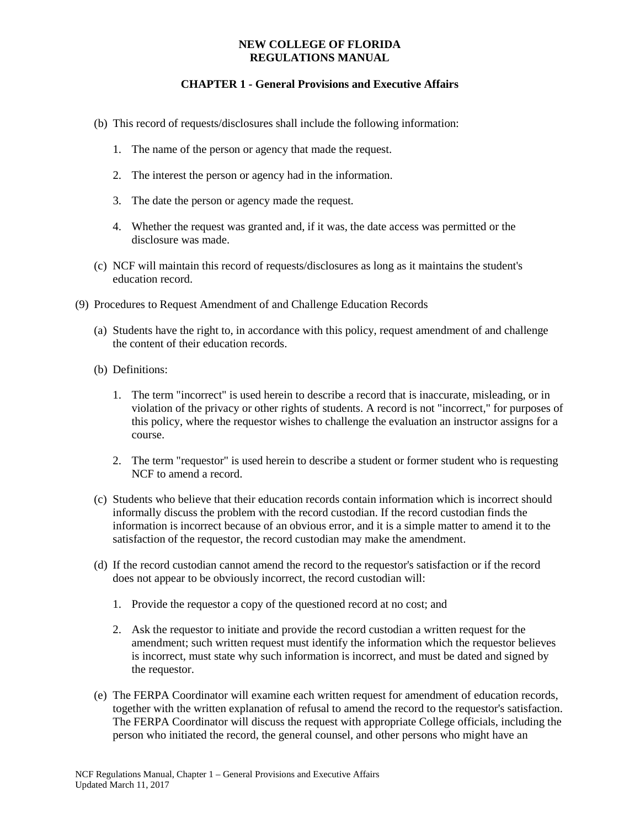- (b) This record of requests/disclosures shall include the following information:
	- 1. The name of the person or agency that made the request.
	- 2. The interest the person or agency had in the information.
	- 3. The date the person or agency made the request.
	- 4. Whether the request was granted and, if it was, the date access was permitted or the disclosure was made.
- (c) NCF will maintain this record of requests/disclosures as long as it maintains the student's education record.
- (9) Procedures to Request Amendment of and Challenge Education Records
	- (a) Students have the right to, in accordance with this policy, request amendment of and challenge the content of their education records.
	- (b) Definitions:
		- 1. The term "incorrect" is used herein to describe a record that is inaccurate, misleading, or in violation of the privacy or other rights of students. A record is not "incorrect," for purposes of this policy, where the requestor wishes to challenge the evaluation an instructor assigns for a course.
		- 2. The term "requestor" is used herein to describe a student or former student who is requesting NCF to amend a record.
	- (c) Students who believe that their education records contain information which is incorrect should informally discuss the problem with the record custodian. If the record custodian finds the information is incorrect because of an obvious error, and it is a simple matter to amend it to the satisfaction of the requestor, the record custodian may make the amendment.
	- (d) If the record custodian cannot amend the record to the requestor's satisfaction or if the record does not appear to be obviously incorrect, the record custodian will:
		- 1. Provide the requestor a copy of the questioned record at no cost; and
		- 2. Ask the requestor to initiate and provide the record custodian a written request for the amendment; such written request must identify the information which the requestor believes is incorrect, must state why such information is incorrect, and must be dated and signed by the requestor.
	- (e) The FERPA Coordinator will examine each written request for amendment of education records, together with the written explanation of refusal to amend the record to the requestor's satisfaction. The FERPA Coordinator will discuss the request with appropriate College officials, including the person who initiated the record, the general counsel, and other persons who might have an